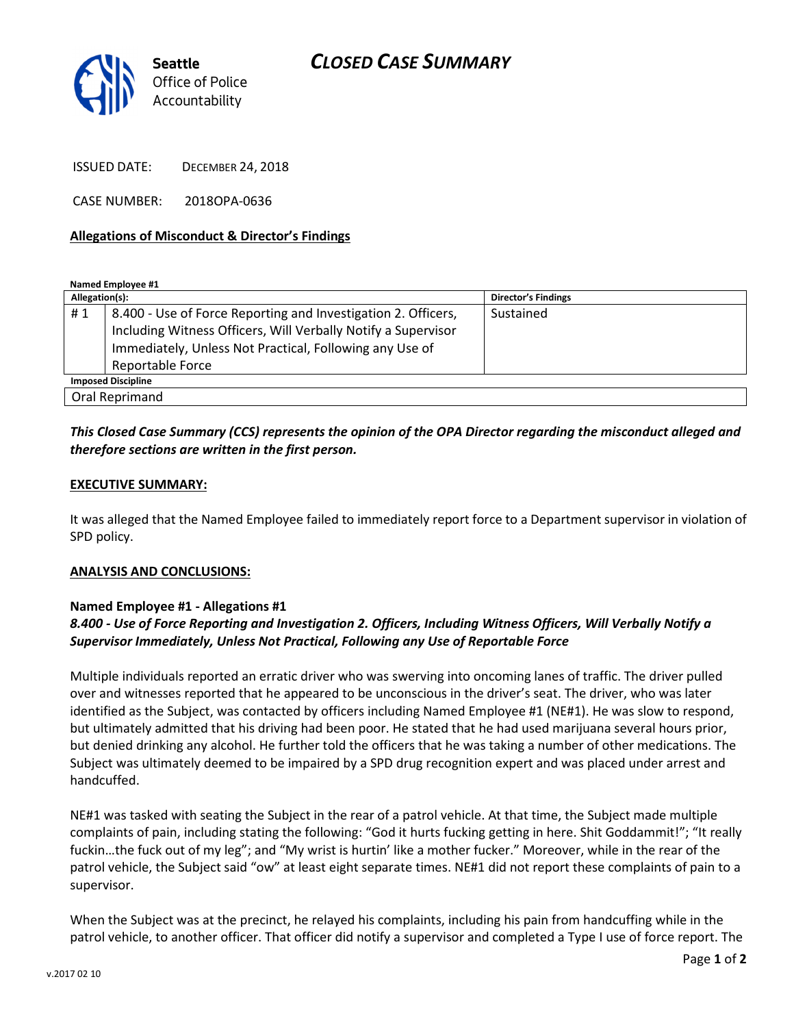

ISSUED DATE: DECEMBER 24, 2018

CASE NUMBER: 2018OPA-0636

#### Allegations of Misconduct & Director's Findings

Named Employee #1

| Allegation(s):            |                                                               | <b>Director's Findings</b> |
|---------------------------|---------------------------------------------------------------|----------------------------|
| #1                        | 8.400 - Use of Force Reporting and Investigation 2. Officers, | Sustained                  |
|                           | Including Witness Officers, Will Verbally Notify a Supervisor |                            |
|                           | Immediately, Unless Not Practical, Following any Use of       |                            |
|                           | <b>Reportable Force</b>                                       |                            |
| <b>Imposed Discipline</b> |                                                               |                            |
| Oral Reprimand            |                                                               |                            |

### This Closed Case Summary (CCS) represents the opinion of the OPA Director regarding the misconduct alleged and therefore sections are written in the first person.

#### EXECUTIVE SUMMARY:

It was alleged that the Named Employee failed to immediately report force to a Department supervisor in violation of SPD policy.

#### ANALYSIS AND CONCLUSIONS:

#### Named Employee #1 - Allegations #1

## 8.400 - Use of Force Reporting and Investigation 2. Officers, Including Witness Officers, Will Verbally Notify a Supervisor Immediately, Unless Not Practical, Following any Use of Reportable Force

Multiple individuals reported an erratic driver who was swerving into oncoming lanes of traffic. The driver pulled over and witnesses reported that he appeared to be unconscious in the driver's seat. The driver, who was later identified as the Subject, was contacted by officers including Named Employee #1 (NE#1). He was slow to respond, but ultimately admitted that his driving had been poor. He stated that he had used marijuana several hours prior, but denied drinking any alcohol. He further told the officers that he was taking a number of other medications. The Subject was ultimately deemed to be impaired by a SPD drug recognition expert and was placed under arrest and handcuffed.

NE#1 was tasked with seating the Subject in the rear of a patrol vehicle. At that time, the Subject made multiple complaints of pain, including stating the following: "God it hurts fucking getting in here. Shit Goddammit!"; "It really fuckin…the fuck out of my leg"; and "My wrist is hurtin' like a mother fucker." Moreover, while in the rear of the patrol vehicle, the Subject said "ow" at least eight separate times. NE#1 did not report these complaints of pain to a supervisor.

When the Subject was at the precinct, he relayed his complaints, including his pain from handcuffing while in the patrol vehicle, to another officer. That officer did notify a supervisor and completed a Type I use of force report. The